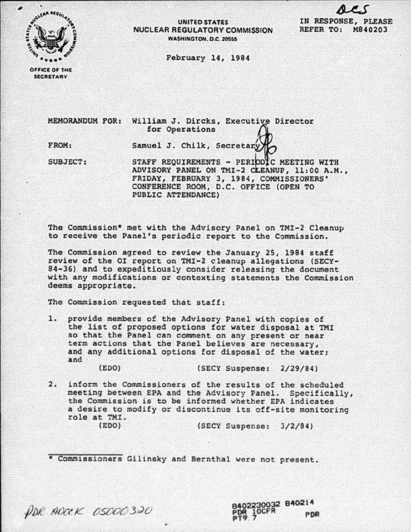

## UNITED STATES NUCLEAR REGULATORY COMMISSION WASHINGTON, D.C. 20555



February 14, 1984

OFFICE OF THE **SECRETARY** 

MEMORANDUM FOR: William J. Dircks, Executive Director<br>for Operations

FROM:

Samuel J. Chilk, Secretary

SUBJECT: STAFF REQUIREMENTS - PERIODIC MEETING WITH ADVISORY PANEL ON TMI-2 CLEANUP, 11:00 A.M., FRIDAY, FEBRUARY 3, 1984, COMMISSIONERS' CONFERENCE ROOM, D.C. OFFICE (OPEN TO PUBLIC ATTENDANCE)

The Commission\* met with the Advisory Panel on TMI-2 Cleanup to receive the Panel's periodic report to the Commission.

The Commission agreed to review the January 25, 1984 staff review of the OI report on TMI-2 cleanup allegations (SECY-84-36) and to expeditiously consider releasing the document with any modifications or contexting statements the Commission deems appropriate.

The Commission requested that staff:

1. provide members of the Advisory Panel with copies of the list of proposed options for water disposal at TMI so that the Panel can comment on any present or near term actions that the Panel believes are necessary, and any additional options for disposal of the water: and

(EDO) (SECY Suspense: 2/29/84)

2. inform the Commissioners of the results of the scheduled meeting between EPA and the Advisory Panel. Specifically, the Commission is to be informed whether EPA indicates a desire to modify or discontinue its off-site monitoring role at TMI. (EDO) (SECY Suspense: 3/2/84)

\* Commissioners Gilinsky and Bernthal were not present.



8402230032 840214 **PDR** PT9. 7